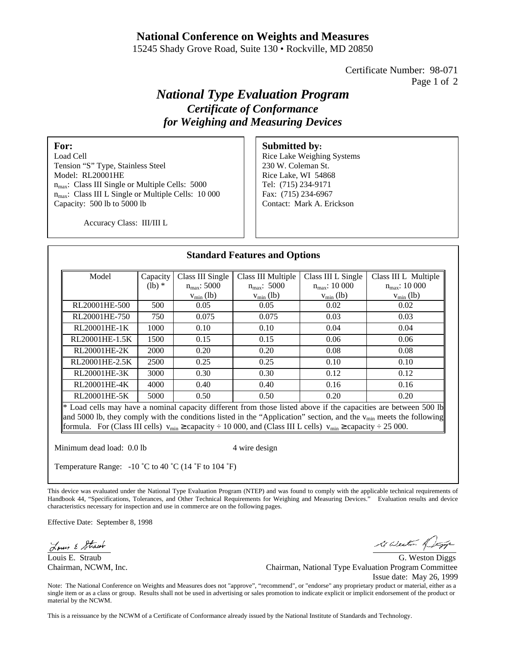## **National Conference on Weights and Measures**

15245 Shady Grove Road, Suite 130 • Rockville, MD 20850

Certificate Number: 98-071 Page 1 of 2

# *National Type Evaluation Program Certificate of Conformance for Weighing and Measuring Devices*

## **For:**

Load Cell Tension "S" Type, Stainless Steel Model: RL20001HE n<sub>max</sub>: Class III Single or Multiple Cells: 5000 n<sub>max</sub>: Class III L Single or Multiple Cells: 10 000 Capacity: 500 lb to 5000 lb

#### **Submitted by:**

Rice Lake Weighing Systems 230 W. Coleman St. Rice Lake, WI 54868 Tel: (715) 234-9171 Fax: (715) 234-6967 Contact: Mark A. Erickson

Accuracy Class: III/III L

| Model                                                                                                                                                                                                                                        | Capacity | Class III Single     | Class III Multiple | Class III L Single        | Class III L Multiple      |
|----------------------------------------------------------------------------------------------------------------------------------------------------------------------------------------------------------------------------------------------|----------|----------------------|--------------------|---------------------------|---------------------------|
|                                                                                                                                                                                                                                              | $(lb)$ * | $n_{\rm max}$ : 5000 | $n_{max}$ : 5000   | $n_{\text{max}}$ : 10 000 | $n_{\text{max}}$ : 10 000 |
|                                                                                                                                                                                                                                              |          | $v_{\min}$ (lb)      | $v_{\min}$ (lb)    | $v_{\min}$ (lb)           | $v_{\min}$ (lb)           |
| RL20001HE-500                                                                                                                                                                                                                                | 500      | 0.05                 | 0.05               | 0.02                      | 0.02                      |
| RL20001HE-750                                                                                                                                                                                                                                | 750      | 0.075                | 0.075              | 0.03                      | 0.03                      |
| RL20001HE-1K                                                                                                                                                                                                                                 | 1000     | 0.10                 | 0.10               | 0.04                      | 0.04                      |
| RL20001HE-1.5K                                                                                                                                                                                                                               | 1500     | 0.15                 | 0.15               | 0.06                      | 0.06                      |
| RL20001HE-2K                                                                                                                                                                                                                                 | 2000     | 0.20                 | 0.20               | 0.08                      | 0.08                      |
| RL20001HE-2.5K                                                                                                                                                                                                                               | 2500     | 0.25                 | 0.25               | 0.10                      | 0.10                      |
| RL20001HE-3K                                                                                                                                                                                                                                 | 3000     | 0.30                 | 0.30               | 0.12                      | 0.12                      |
| RL20001HE-4K                                                                                                                                                                                                                                 | 4000     | 0.40                 | 0.40               | 0.16                      | 0.16                      |
| RL20001HE-5K                                                                                                                                                                                                                                 | 5000     | 0.50                 | 0.50               | 0.20                      | 0.20                      |
| $*$ Load cells may have a nominal capacity different from those listed above if the capacities are between 500 lb<br>and 5000 lb, they comply with the conditions listed in the "Application" section, and the $v_{min}$ meets the following |          |                      |                    |                           |                           |

Minimum dead load: 0.0 lb 4 wire design

Temperature Range: -10 ˚C to 40 ˚C (14 ˚F to 104 ˚F)

This device was evaluated under the National Type Evaluation Program (NTEP) and was found to comply with the applicable technical requirements of Handbook 44, "Specifications, Tolerances, and Other Technical Requirements for Weighing and Measuring Devices." Evaluation results and device characteristics necessary for inspection and use in commerce are on the following pages.

Effective Date: September 8, 1998

Louis & Strawb

i Weston of

Louis E. Straub G. Weston Diggs Chairman, NCWM, Inc. Chairman, National Type Evaluation Program Committee Issue date: May 26, 1999

Note: The National Conference on Weights and Measures does not "approve", "recommend", or "endorse" any proprietary product or material, either as a single item or as a class or group. Results shall not be used in advertising or sales promotion to indicate explicit or implicit endorsement of the product or material by the NCWM.

This is a reissuance by the NCWM of a Certificate of Conformance already issued by the National Institute of Standards and Technology.